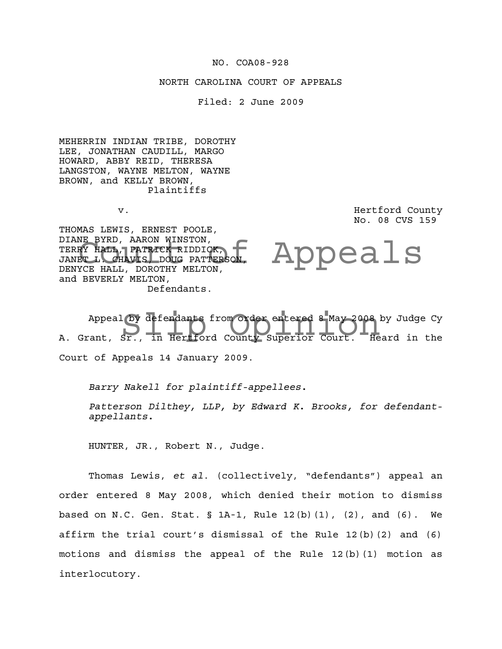### NO. COA08-928

### NORTH CAROLINA COURT OF APPEALS

Filed: 2 June 2009

MEHERRIN INDIAN TRIBE, DOROTHY LEE, JONATHAN CAUDILL, MARGO HOWARD, ABBY REID, THERESA LANGSTON, WAYNE MELTON, WAYNE BROWN, and KELLY BROWN, Plaintiffs

v. **Example 2** and the country of the Hertford County of the country of the country of the country of the country of the country of the country of the country of the country of the country of the country of the country of No. 08 CVS 159

THOMAS LEWIS, ERNEST POOLE, DIANE BYRD, AARON WINSTON, TERRY HALL, PATRICK RIDDICK, JANET L. CHAVIS, DOUG PATTERSON, DENYCE HALL, DOROTHY MELTON, and BEVERLY MELTON, Defendants.

Appeals

Appeal by defendants from order entered 8 May 2008 by Judge Cy<br>A. Grant, Sr., in Hertford County Superior Court. Heard in the Appeal by defendants from order entered 8 May 2008 by Judge Cy Court of Appeals 14 January 2009.

*Barry Nakell for plaintiff-appellees.*

*Patterson Dilthey, LLP, by Edward K. Brooks, for defendantappellants.*

HUNTER, JR., Robert N., Judge.

Thomas Lewis, *et al*. (collectively, "defendants") appeal an order entered 8 May 2008, which denied their motion to dismiss based on N.C. Gen. Stat. § 1A-1, Rule 12(b)(1), (2), and (6). We affirm the trial court's dismissal of the Rule 12(b)(2) and (6) motions and dismiss the appeal of the Rule 12(b)(1) motion as interlocutory.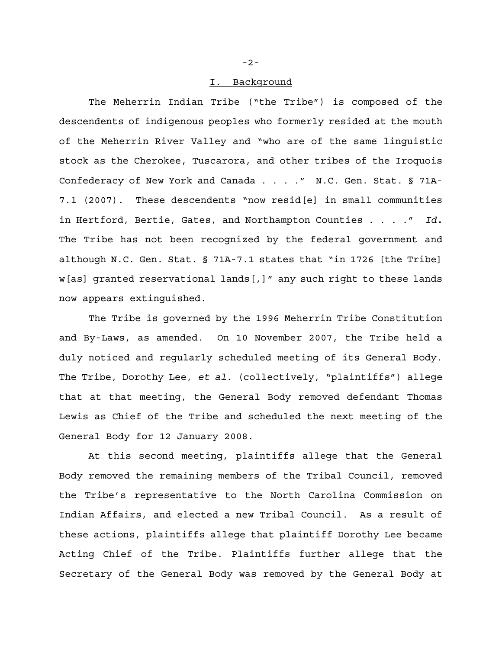#### I. Background

The Meherrin Indian Tribe ("the Tribe") is composed of the descendents of indigenous peoples who formerly resided at the mouth of the Meherrin River Valley and "who are of the same linguistic stock as the Cherokee, Tuscarora, and other tribes of the Iroquois Confederacy of New York and Canada . . . ." N.C. Gen. Stat. § 71A-7.1 (2007). These descendents "now resid[e] in small communities in Hertford, Bertie, Gates, and Northampton Counties . . . ." *Id.* The Tribe has not been recognized by the federal government and although N.C. Gen. Stat. § 71A-7.1 states that "in 1726 [the Tribe] w[as] granted reservational lands[,]" any such right to these lands now appears extinguished.

The Tribe is governed by the 1996 Meherrin Tribe Constitution and By-Laws, as amended. On 10 November 2007, the Tribe held a duly noticed and regularly scheduled meeting of its General Body. The Tribe, Dorothy Lee, *et al*. (collectively, "plaintiffs") allege that at that meeting, the General Body removed defendant Thomas Lewis as Chief of the Tribe and scheduled the next meeting of the General Body for 12 January 2008.

At this second meeting, plaintiffs allege that the General Body removed the remaining members of the Tribal Council, removed the Tribe's representative to the North Carolina Commission on Indian Affairs, and elected a new Tribal Council. As a result of these actions, plaintiffs allege that plaintiff Dorothy Lee became Acting Chief of the Tribe. Plaintiffs further allege that the Secretary of the General Body was removed by the General Body at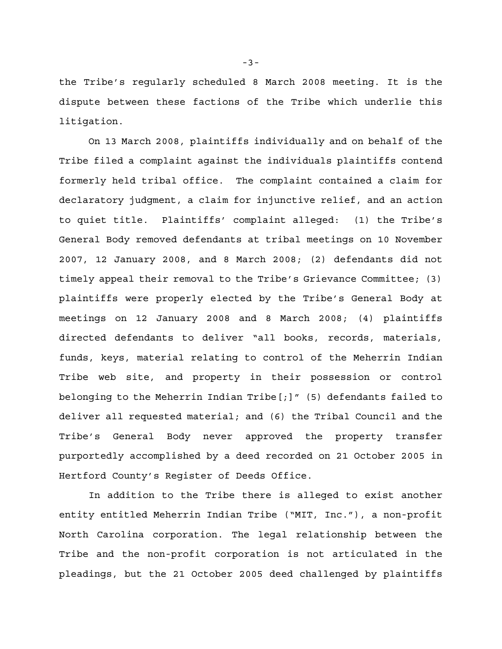the Tribe's regularly scheduled 8 March 2008 meeting. It is the dispute between these factions of the Tribe which underlie this litigation.

On 13 March 2008, plaintiffs individually and on behalf of the Tribe filed a complaint against the individuals plaintiffs contend formerly held tribal office. The complaint contained a claim for declaratory judgment, a claim for injunctive relief, and an action to quiet title. Plaintiffs' complaint alleged: (1) the Tribe's General Body removed defendants at tribal meetings on 10 November 2007, 12 January 2008, and 8 March 2008; (2) defendants did not timely appeal their removal to the Tribe's Grievance Committee; (3) plaintiffs were properly elected by the Tribe's General Body at meetings on 12 January 2008 and 8 March 2008; (4) plaintiffs directed defendants to deliver "all books, records, materials, funds, keys, material relating to control of the Meherrin Indian Tribe web site, and property in their possession or control belonging to the Meherrin Indian Tribe  $[j]$ " (5) defendants failed to deliver all requested material; and (6) the Tribal Council and the Tribe's General Body never approved the property transfer purportedly accomplished by a deed recorded on 21 October 2005 in Hertford County's Register of Deeds Office.

In addition to the Tribe there is alleged to exist another entity entitled Meherrin Indian Tribe ("MIT, Inc."), a non-profit North Carolina corporation. The legal relationship between the Tribe and the non-profit corporation is not articulated in the pleadings, but the 21 October 2005 deed challenged by plaintiffs

-3-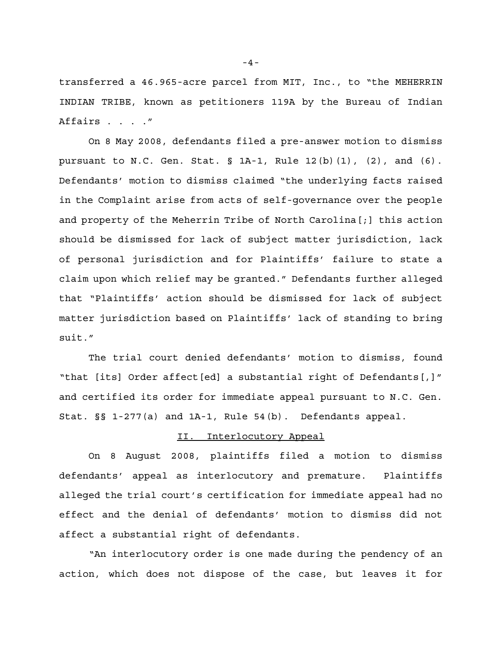transferred a 46.965-acre parcel from MIT, Inc., to "the MEHERRIN INDIAN TRIBE, known as petitioners 119A by the Bureau of Indian Affairs . . . ."

On 8 May 2008, defendants filed a pre-answer motion to dismiss pursuant to N.C. Gen. Stat.  $\S$  1A-1, Rule 12(b)(1), (2), and (6). Defendants' motion to dismiss claimed "the underlying facts raised in the Complaint arise from acts of self-governance over the people and property of the Meherrin Tribe of North Carolina[;] this action should be dismissed for lack of subject matter jurisdiction, lack of personal jurisdiction and for Plaintiffs' failure to state a claim upon which relief may be granted." Defendants further alleged that "Plaintiffs' action should be dismissed for lack of subject matter jurisdiction based on Plaintiffs' lack of standing to bring suit."

The trial court denied defendants' motion to dismiss, found "that [its] Order affect[ed] a substantial right of Defendants[,]" and certified its order for immediate appeal pursuant to N.C. Gen. Stat. §§ 1-277(a) and 1A-1, Rule 54(b). Defendants appeal.

## II. Interlocutory Appeal

On 8 August 2008, plaintiffs filed a motion to dismiss defendants' appeal as interlocutory and premature. Plaintiffs alleged the trial court's certification for immediate appeal had no effect and the denial of defendants' motion to dismiss did not affect a substantial right of defendants.

"An interlocutory order is one made during the pendency of an action, which does not dispose of the case, but leaves it for

-4-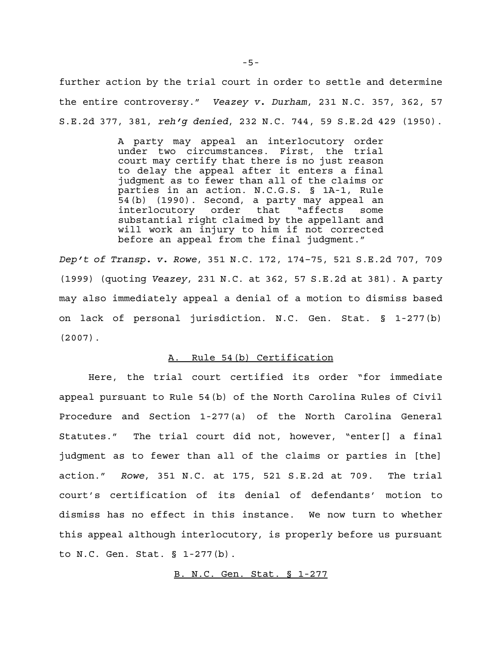further action by the trial court in order to settle and determine the entire controversy." *Veazey v. Durham*, 231 N.C. 357, 362, 57 S.E.2d 377, 381, *reh'g denied*, 232 N.C. 744, 59 S.E.2d 429 (1950).

> A party may appeal an interlocutory order under two circumstances. First, the trial court may certify that there is no just reason to delay the appeal after it enters a final judgment as to fewer than all of the claims or parties in an action. N.C.G.S. § 1A-1, Rule 54(b) (1990). Second, a party may appeal an interlocutory order that "affects some substantial right claimed by the appellant and will work an injury to him if not corrected before an appeal from the final judgment."

*Dep't of Transp. v. Rowe*, 351 N.C. 172, 174–75, 521 S.E.2d 707, 709 (1999) (quoting *Veazey*, 231 N.C. at 362, 57 S.E.2d at 381). A party may also immediately appeal a denial of a motion to dismiss based on lack of personal jurisdiction. N.C. Gen. Stat. § 1-277(b) (2007).

## A. Rule 54(b) Certification

Here, the trial court certified its order "for immediate appeal pursuant to Rule 54(b) of the North Carolina Rules of Civil Procedure and Section 1-277(a) of the North Carolina General Statutes." The trial court did not, however, "enter[] a final judgment as to fewer than all of the claims or parties in [the] action." *Rowe*, 351 N.C. at 175, 521 S.E.2d at 709. The trial court's certification of its denial of defendants' motion to dismiss has no effect in this instance. We now turn to whether this appeal although interlocutory, is properly before us pursuant to N.C. Gen. Stat. § 1-277(b).

B. N.C. Gen. Stat. § 1-277

-5-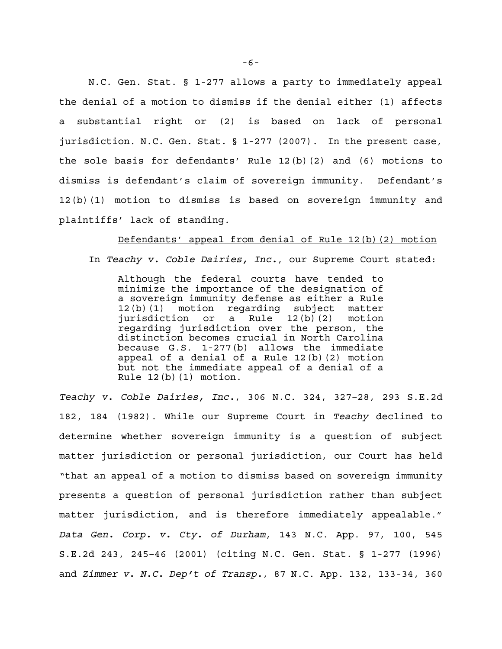N.C. Gen. Stat. § 1-277 allows a party to immediately appeal the denial of a motion to dismiss if the denial either (1) affects a substantial right or (2) is based on lack of personal jurisdiction. N.C. Gen. Stat. § 1-277 (2007). In the present case, the sole basis for defendants' Rule 12(b)(2) and (6) motions to dismiss is defendant's claim of sovereign immunity. Defendant's 12(b)(1) motion to dismiss is based on sovereign immunity and plaintiffs' lack of standing.

Defendants' appeal from denial of Rule 12(b)(2) motion In *Teachy v. Coble Dairies, Inc.*, our Supreme Court stated:

Although the federal courts have tended to minimize the importance of the designation of a sovereign immunity defense as either a Rule 12(b)(1) motion regarding subject matter jurisdiction or a Rule 12(b)(2) motion regarding jurisdiction over the person, the distinction becomes crucial in North Carolina because G.S. 1-277(b) allows the immediate appeal of a denial of a Rule 12(b)(2) motion but not the immediate appeal of a denial of a Rule  $12(b)(1)$  motion.

*Teachy v. Coble Dairies, Inc.*, 306 N.C. 324, 327–28, 293 S.E.2d 182, 184 (1982). While our Supreme Court in *Teachy* declined to determine whether sovereign immunity is a question of subject matter jurisdiction or personal jurisdiction, our Court has held "that an appeal of a motion to dismiss based on sovereign immunity presents a question of personal jurisdiction rather than subject matter jurisdiction, and is therefore immediately appealable." *Data Gen. Corp. v. Cty. of Durham*, 143 N.C. App. 97, 100, 545 S.E.2d 243, 245–46 (2001) (citing N.C. Gen. Stat. § 1-277 (1996) and *Zimmer v. N.C. Dep't of Transp.*, 87 N.C. App. 132, 133-34, 360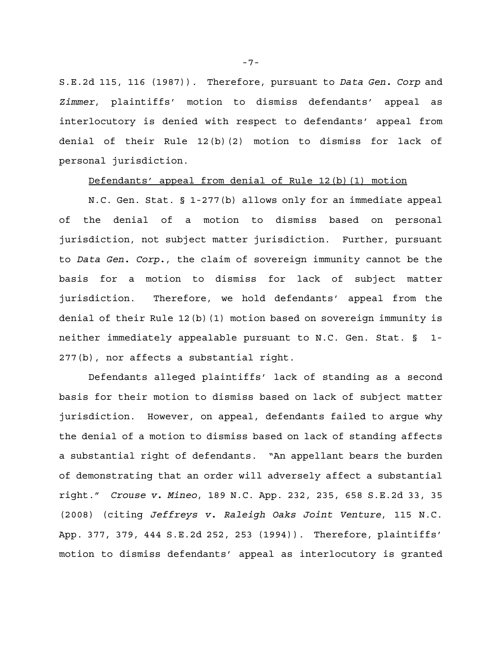S.E.2d 115, 116 (1987)). Therefore, pursuant to *Data Gen. Corp* and *Zimmer*, plaintiffs' motion to dismiss defendants' appeal as interlocutory is denied with respect to defendants' appeal from denial of their Rule 12(b)(2) motion to dismiss for lack of personal jurisdiction.

## Defendants' appeal from denial of Rule 12(b)(1) motion

N.C. Gen. Stat. § 1-277(b) allows only for an immediate appeal of the denial of a motion to dismiss based on personal jurisdiction, not subject matter jurisdiction. Further, pursuant to *Data Gen. Corp.*, the claim of sovereign immunity cannot be the basis for a motion to dismiss for lack of subject matter jurisdiction. Therefore, we hold defendants' appeal from the denial of their Rule 12(b)(1) motion based on sovereign immunity is neither immediately appealable pursuant to N.C. Gen. Stat. § 1- 277(b), nor affects a substantial right.

Defendants alleged plaintiffs' lack of standing as a second basis for their motion to dismiss based on lack of subject matter jurisdiction. However, on appeal, defendants failed to argue why the denial of a motion to dismiss based on lack of standing affects a substantial right of defendants. "An appellant bears the burden of demonstrating that an order will adversely affect a substantial right." *Crouse v. Mineo*, 189 N.C. App. 232, 235, 658 S.E.2d 33, 35 (2008) (citing *Jeffreys v. Raleigh Oaks Joint Venture*, 115 N.C. App. 377, 379, 444 S.E.2d 252, 253 (1994)). Therefore, plaintiffs' motion to dismiss defendants' appeal as interlocutory is granted

-7-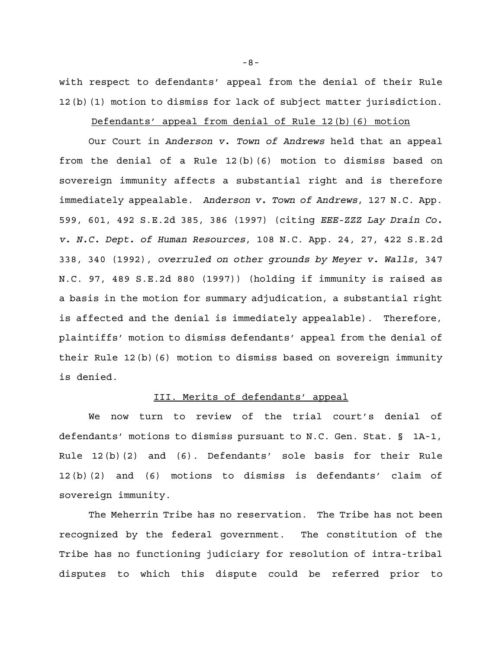with respect to defendants' appeal from the denial of their Rule 12(b)(1) motion to dismiss for lack of subject matter jurisdiction.

# Defendants' appeal from denial of Rule 12(b)(6) motion

Our Court in *Anderson v. Town of Andrews* held that an appeal from the denial of a Rule 12(b)(6) motion to dismiss based on sovereign immunity affects a substantial right and is therefore immediately appealable. *Anderson v. Town of Andrews*, 127 N.C. App. 599, 601, 492 S.E.2d 385, 386 (1997) (citing *EEE-ZZZ Lay Drain Co. v. N.C. Dept. of Human Resources*, 108 N.C. App. 24, 27, 422 S.E.2d 338, 340 (1992), *overruled on other grounds by Meyer v. Walls*, 347 N.C. 97, 489 S.E.2d 880 (1997)) (holding if immunity is raised as a basis in the motion for summary adjudication, a substantial right is affected and the denial is immediately appealable). Therefore, plaintiffs' motion to dismiss defendants' appeal from the denial of their Rule 12(b)(6) motion to dismiss based on sovereign immunity is denied.

# III. Merits of defendants' appeal

We now turn to review of the trial court's denial of defendants' motions to dismiss pursuant to N.C. Gen. Stat. § 1A-1, Rule 12(b)(2) and (6). Defendants' sole basis for their Rule 12(b)(2) and (6) motions to dismiss is defendants' claim of sovereign immunity.

The Meherrin Tribe has no reservation. The Tribe has not been recognized by the federal government. The constitution of the Tribe has no functioning judiciary for resolution of intra-tribal disputes to which this dispute could be referred prior to

-8-